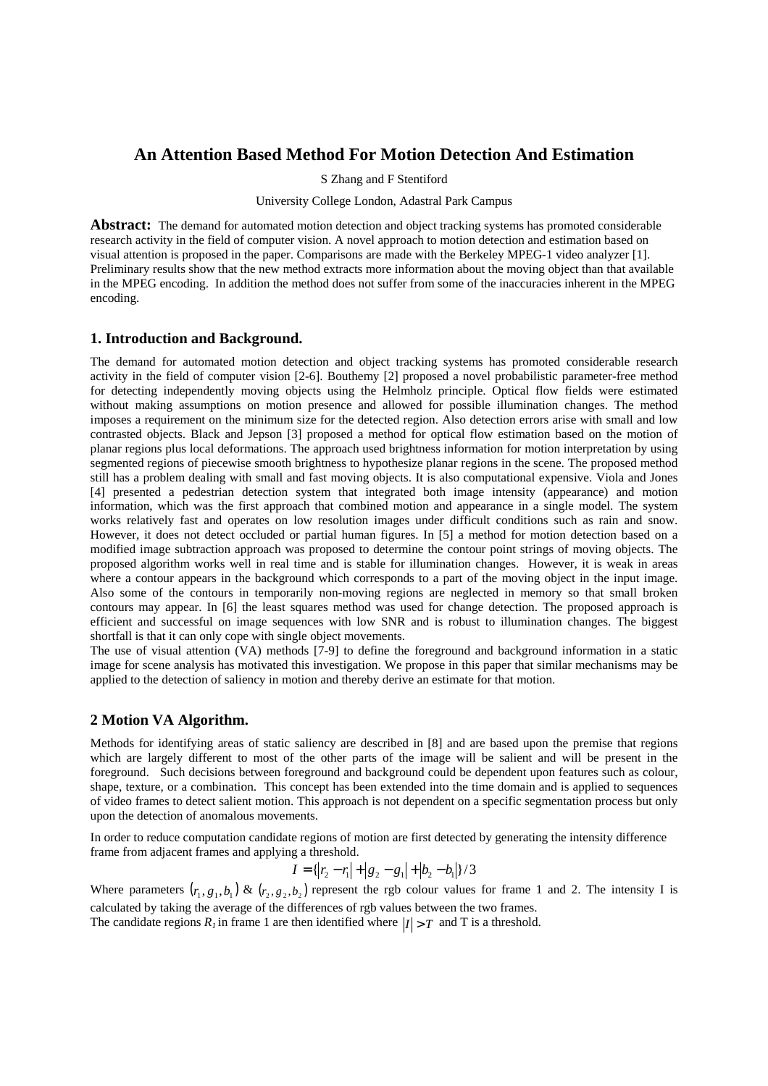# **An Attention Based Method For Motion Detection And Estimation**

S Zhang and F Stentiford

University College London, Adastral Park Campus

**Abstract:** The demand for automated motion detection and object tracking systems has promoted considerable research activity in the field of computer vision. A novel approach to motion detection and estimation based on visual attention is proposed in the paper. Comparisons are made with the Berkeley MPEG-1 video analyzer [1]. Preliminary results show that the new method extracts more information about the moving object than that available in the MPEG encoding. In addition the method does not suffer from some of the inaccuracies inherent in the MPEG encoding.

## **1. Introduction and Background.**

The demand for automated motion detection and object tracking systems has promoted considerable research activity in the field of computer vision [2-6]. Bouthemy [2] proposed a novel probabilistic parameter-free method for detecting independently moving objects using the Helmholz principle. Optical flow fields were estimated without making assumptions on motion presence and allowed for possible illumination changes. The method imposes a requirement on the minimum size for the detected region. Also detection errors arise with small and low contrasted objects. Black and Jepson [3] proposed a method for optical flow estimation based on the motion of planar regions plus local deformations. The approach used brightness information for motion interpretation by using segmented regions of piecewise smooth brightness to hypothesize planar regions in the scene. The proposed method still has a problem dealing with small and fast moving objects. It is also computational expensive. Viola and Jones [4] presented a pedestrian detection system that integrated both image intensity (appearance) and motion information, which was the first approach that combined motion and appearance in a single model. The system works relatively fast and operates on low resolution images under difficult conditions such as rain and snow. However, it does not detect occluded or partial human figures. In [5] a method for motion detection based on a modified image subtraction approach was proposed to determine the contour point strings of moving objects. The proposed algorithm works well in real time and is stable for illumination changes. However, it is weak in areas where a contour appears in the background which corresponds to a part of the moving object in the input image. Also some of the contours in temporarily non-moving regions are neglected in memory so that small broken contours may appear. In [6] the least squares method was used for change detection. The proposed approach is efficient and successful on image sequences with low SNR and is robust to illumination changes. The biggest shortfall is that it can only cope with single object movements.

The use of visual attention (VA) methods [7-9] to define the foreground and background information in a static image for scene analysis has motivated this investigation. We propose in this paper that similar mechanisms may be applied to the detection of saliency in motion and thereby derive an estimate for that motion.

## **2 Motion VA Algorithm.**

Methods for identifying areas of static saliency are described in [8] and are based upon the premise that regions which are largely different to most of the other parts of the image will be salient and will be present in the foreground. Such decisions between foreground and background could be dependent upon features such as colour, shape, texture, or a combination. This concept has been extended into the time domain and is applied to sequences of video frames to detect salient motion. This approach is not dependent on a specific segmentation process but only upon the detection of anomalous movements.

In order to reduce computation candidate regions of motion are first detected by generating the intensity difference frame from adjacent frames and applying a threshold.

$$
I = \{ |r_2 - r_1| + |g_2 - g_1| + |b_2 - b_1| \}/3
$$

Where parameters  $(r_1, g_1, b_1)$  &  $(r_2, g_2, b_2)$  represent the rgb colour values for frame 1 and 2. The intensity I is calculated by taking the average of the differences of rgb values between the two frames.

The candidate regions  $R_I$  in frame 1 are then identified where  $|I| > T$  and T is a threshold.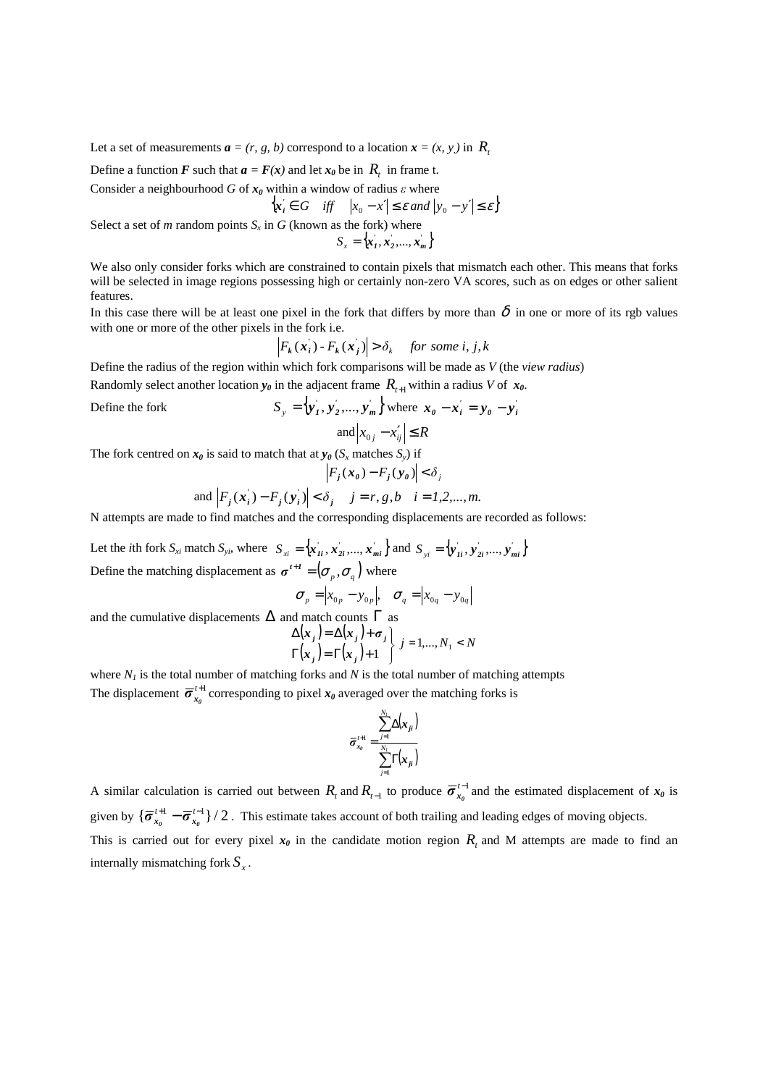Let a set of measurements  $\boldsymbol{a} = (r, g, b)$  correspond to a location  $\boldsymbol{x} = (x, y, b)$  in  $\boldsymbol{R}_t$ 

Define a function *F* such that  $a = F(x)$  and let  $x_0$  be in  $R_t$  in frame t.

Consider a neighbourhood *G* of  $x_0$  within a window of radius  $\varepsilon$  where

$$
\left\{ x_i \in G \quad \text{iff} \quad \left| x_0 - x' \right| \le \varepsilon \text{ and } \left| y_0 - y' \right| \le \varepsilon \right\}
$$

Select a set of *m* random points  $S_x$  in *G* (known as the fork) where

 $S_x = \{x'_1, x'_2, ..., x'_m\}$ 

We also only consider forks which are constrained to contain pixels that mismatch each other. This means that forks will be selected in image regions possessing high or certainly non-zero VA scores, such as on edges or other salient features.

In this case there will be at least one pixel in the fork that differs by more than  $\delta$  in one or more of its rgb values with one or more of the other pixels in the fork i.e.

$$
\left| F_k(\mathbf{x}_i) - F_k(\mathbf{x}_j) \right| > \delta_k \quad \text{for some } i, j, k
$$

Define the radius of the region within which fork comparisons will be made as *V* (the *view radius*) Randomly select another location  $y_\theta$  in the adjacent frame  $R_{t+1}$  within a radius *V* of  $x_\theta$ .

Define the fork  $S_y = \{y'_1, y'_2, ..., y'_m\}$  where  $x_0 - x'_i = y_0 - y'_i$ and  $|x_{0j} - x'_{ij}| \le R$ 

The fork centred on  $x_0$  is said to match that at  $y_0$  ( $S_x$  matches  $S_y$ ) if

$$
\left|F_j(\mathbf{x}_0) - F_j(\mathbf{y}_0)\right| < \delta_j
$$
\n
$$
\text{and } \left|F_j(\mathbf{x}_i') - F_j(\mathbf{y}_i')\right| < \delta_j \quad j = r, g, b \quad i = 1, 2, \dots, m.
$$

N attempts are made to find matches and the corresponding displacements are recorded as follows:

Let the *i*th fork  $S_{xi}$  match  $S_{yi}$ , where  $S_{xi} = \{x'_{1i}, x'_{2i}, ..., x'_{mi}\}$  and  $S_{yi} = \{y'_{1i}, y'_{2i}, ..., y'_{mi}\}$ Define the matching displacement as  $\boldsymbol{\sigma}^{t+1} = (\sigma_p, \sigma_q)$  where

$$
\boldsymbol{\sigma}_p = \begin{vmatrix} x_{0p} - y_{0p} \end{vmatrix}, \quad \boldsymbol{\sigma}_q = \begin{vmatrix} x_{0q} - y_{0q} \end{vmatrix}
$$

and the cumulative displacements  $\Delta$  and match counts  $\Gamma$  as

$$
\Delta(\mathbf{x}_j) = \Delta(\mathbf{x}_j) + \sigma_j
$$
  
\n
$$
\Gamma(\mathbf{x}_j) = \Gamma(\mathbf{x}_j) + 1
$$
  $j = 1,..., N_1 < N$ 

where  $N_I$  is the total number of matching forks and  $N$  is the total number of matching attempts The displacement  $\bar{\sigma}_{x_0}^{t+1}$  corresponding to pixel  $x_0$  averaged over the matching forks is

$$
\overline{\sigma}_{x_0}^{\prime+1} = \frac{\sum_{j=1}^{N_1} \Delta(x_{ji})}{\sum_{j=1}^{N_1} \Gamma(x_{ji})}
$$

A similar calculation is carried out between  $R_t$  and  $R_{t-1}$  to produce  $\overline{\sigma}_{x_0}^{t-1}$  and the estimated displacement of  $x_0$  is given by  $\{\overline{\sigma}_{\mathbf{r}_0}^{t+1} - \overline{\sigma}_{\mathbf{r}_0}^{t-1}\}$  / 2  $\overline{\sigma}_{x_0}^{t+1} - \overline{\sigma}_{x_0}^{t-1}$  / 2. This estimate takes account of both trailing and leading edges of moving objects.

This is carried out for every pixel  $x_0$  in the candidate motion region  $R_t$  and M attempts are made to find an internally mismatching fork *S<sup>x</sup>* .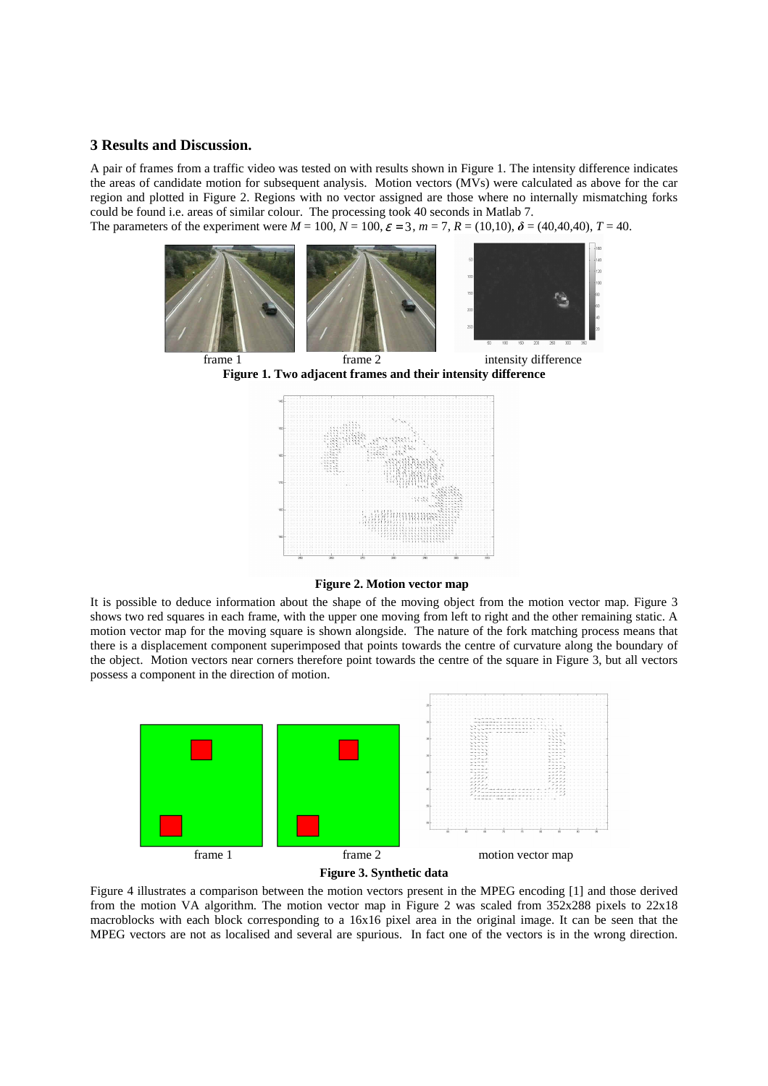#### **3 Results and Discussion.**

A pair of frames from a traffic video was tested on with results shown in Figure 1. The intensity difference indicates the areas of candidate motion for subsequent analysis. Motion vectors (MVs) were calculated as above for the car region and plotted in Figure 2. Regions with no vector assigned are those where no internally mismatching forks could be found i.e. areas of similar colour. The processing took 40 seconds in Matlab 7.

The parameters of the experiment were  $M = 100$ ,  $N = 100$ ,  $\varepsilon = 3$ ,  $m = 7$ ,  $R = (10,10)$ ,  $\delta = (40,40,40)$ ,  $T = 40$ .



**Figure 1. Two adjacent frames and their intensity difference** 



**Figure 2. Motion vector map**

It is possible to deduce information about the shape of the moving object from the motion vector map. Figure 3 shows two red squares in each frame, with the upper one moving from left to right and the other remaining static. A motion vector map for the moving square is shown alongside. The nature of the fork matching process means that there is a displacement component superimposed that points towards the centre of curvature along the boundary of the object. Motion vectors near corners therefore point towards the centre of the square in Figure 3, but all vectors possess a component in the direction of motion.





Figure 4 illustrates a comparison between the motion vectors present in the MPEG encoding [1] and those derived from the motion VA algorithm. The motion vector map in Figure 2 was scaled from 352x288 pixels to 22x18 macroblocks with each block corresponding to a 16x16 pixel area in the original image. It can be seen that the MPEG vectors are not as localised and several are spurious. In fact one of the vectors is in the wrong direction.